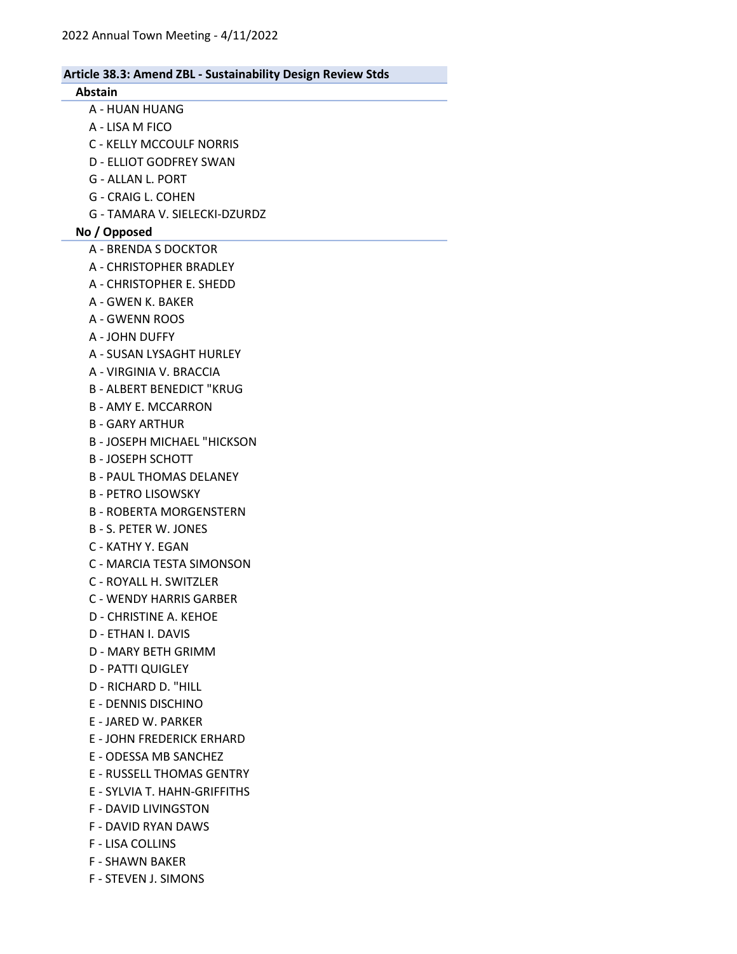# Abstain A - HUAN HUANG A - LISA M FICO C - KELLY MCCOULF NORRIS D - ELLIOT GODFREY SWAN G - ALLAN L. PORT G - CRAIG L. COHEN G - TAMARA V. SIELECKI-DZURDZ No / Opposed A - BRENDA S DOCKTOR A - CHRISTOPHER BRADLEY A - CHRISTOPHER E. SHEDD A - GWEN K. BAKER A - GWENN ROOS A - JOHN DUFFY A - SUSAN LYSAGHT HURLEY A - VIRGINIA V. BRACCIA B - ALBERT BENEDICT "KRUG B - AMY E. MCCARRON B - GARY ARTHUR B - JOSEPH MICHAEL "HICKSON B - JOSEPH SCHOTT B - PAUL THOMAS DELANEY B - PETRO LISOWSKY B - ROBERTA MORGENSTERN B - S. PETER W. JONES C - KATHY Y. EGAN C - MARCIA TESTA SIMONSON C - ROYALL H. SWITZLER C - WENDY HARRIS GARBER D - CHRISTINE A. KEHOE D - ETHAN I. DAVIS D - MARY BETH GRIMM D - PATTI QUIGLEY D - RICHARD D. "HILL E - DENNIS DISCHINO E - JARED W. PARKER E - JOHN FREDERICK ERHARD E - ODESSA MB SANCHEZ E - RUSSELL THOMAS GENTRY E - SYLVIA T. HAHN-GRIFFITHS F - DAVID LIVINGSTON F - DAVID RYAN DAWS F - LISA COLLINS F - SHAWN BAKER F - STEVEN J. SIMONS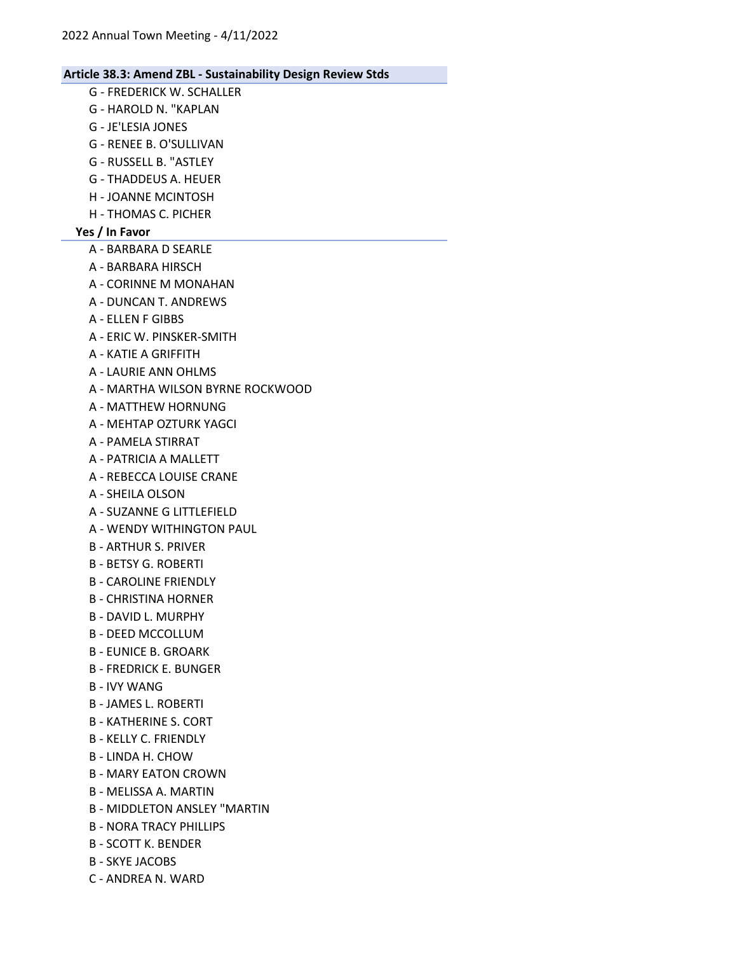- G FREDERICK W. SCHALLER G - HAROLD N. "KAPLAN G - JE'LESIA JONES G - RENEE B. O'SULLIVAN G - RUSSELL B. "ASTLEY G - THADDEUS A. HEUER H - JOANNE MCINTOSH H - THOMAS C. PICHER Yes / In Favor A - BARBARA D SEARLE A - BARBARA HIRSCH A - CORINNE M MONAHAN A - DUNCAN T. ANDREWS A - ELLEN F GIBBS A - ERIC W. PINSKER-SMITH A - KATIE A GRIFFITH A - LAURIE ANN OHLMS A - MARTHA WILSON BYRNE ROCKWOOD A - MATTHEW HORNUNG A - MEHTAP OZTURK YAGCI A - PAMELA STIRRAT A - PATRICIA A MALLETT A - REBECCA LOUISE CRANE A - SHEILA OLSON A - SUZANNE G LITTLEFIELD A - WENDY WITHINGTON PAUL B - ARTHUR S. PRIVER B - BETSY G. ROBERTI B - CAROLINE FRIENDLY B - CHRISTINA HORNER B - DAVID L. MURPHY B - DEED MCCOLLUM B - EUNICE B. GROARK B - FREDRICK E. BUNGER B - IVY WANG B - JAMES L. ROBERTI B - KATHERINE S. CORT B - KELLY C. FRIENDLY B - LINDA H. CHOW B - MARY EATON CROWN B - MELISSA A. MARTIN B - MIDDLETON ANSLEY "MARTIN B - NORA TRACY PHILLIPS B - SCOTT K. BENDER
	- B SKYE JACOBS
	- C ANDREA N. WARD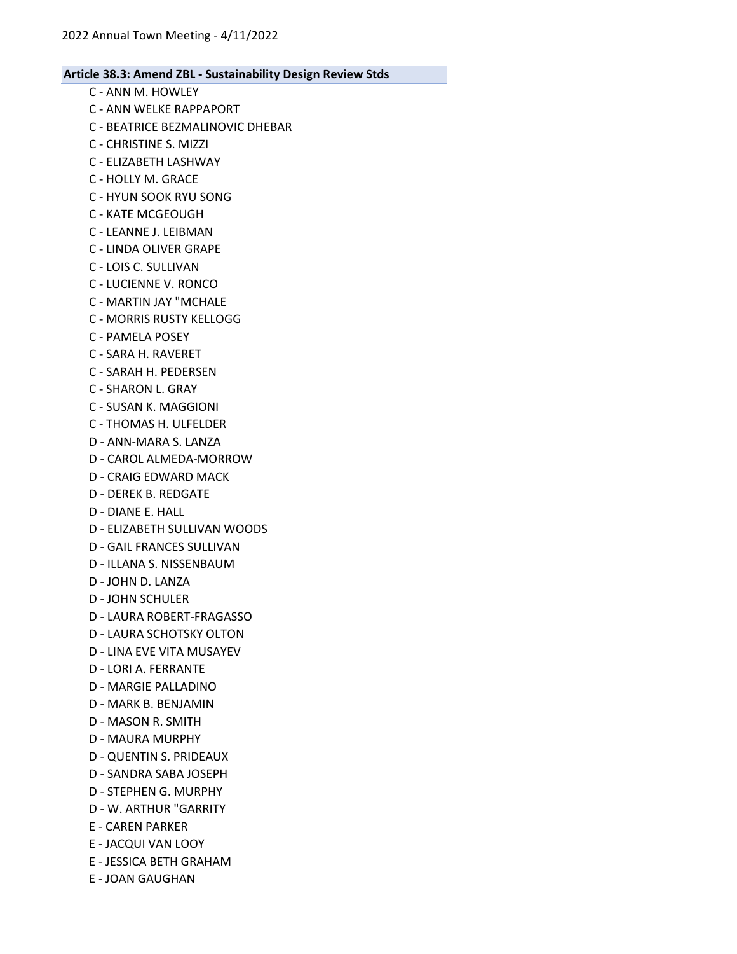- C ANN M. HOWLEY
- C ANN WELKE RAPPAPORT
- C BEATRICE BEZMALINOVIC DHEBAR
- C CHRISTINE S. MIZZI
- C ELIZABETH LASHWAY
- C HOLLY M. GRACE
- C HYUN SOOK RYU SONG
- C KATE MCGEOUGH
- C LEANNE J. LEIBMAN
- C LINDA OLIVER GRAPE
- C LOIS C. SULLIVAN
- C LUCIENNE V. RONCO
- C MARTIN JAY "MCHALE
- C MORRIS RUSTY KELLOGG
- C PAMELA POSEY
- C SARA H. RAVERET
- C SARAH H. PEDERSEN
- C SHARON L. GRAY
- C SUSAN K. MAGGIONI
- C THOMAS H. ULFELDER
- D ANN-MARA S. LANZA
- D CAROL ALMEDA-MORROW
- D CRAIG EDWARD MACK
- D DEREK B. REDGATE
- D DIANE E. HALL
- D ELIZABETH SULLIVAN WOODS
- D GAIL FRANCES SULLIVAN
- D ILLANA S. NISSENBAUM
- D JOHN D. LANZA
- D JOHN SCHULER
- D LAURA ROBERT-FRAGASSO
- D LAURA SCHOTSKY OLTON
- D LINA EVE VITA MUSAYEV
- D LORI A. FERRANTE
- D MARGIE PALLADINO
- D MARK B. BENJAMIN
- D MASON R. SMITH
- D MAURA MURPHY
- D QUENTIN S. PRIDEAUX
- D SANDRA SABA JOSEPH
- D STEPHEN G. MURPHY
- D W. ARTHUR "GARRITY
- E CAREN PARKER
- E JACQUI VAN LOOY
- E JESSICA BETH GRAHAM
- E JOAN GAUGHAN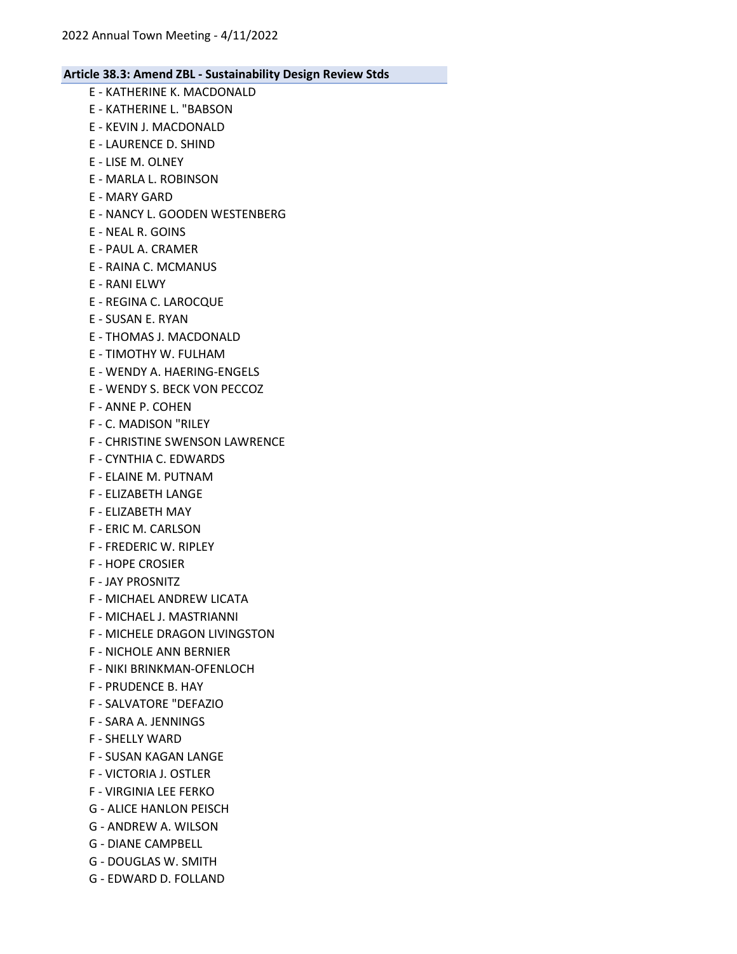- E KATHERINE K. MACDONALD E - KATHERINE L. "BABSON E - KEVIN J. MACDONALD E - LAURENCE D. SHIND E - LISE M. OLNEY E - MARLA L. ROBINSON E - MARY GARD E - NANCY L. GOODEN WESTENBERG E - NEAL R. GOINS E - PAUL A. CRAMER E - RAINA C. MCMANUS E - RANI ELWY E - REGINA C. LAROCQUE E - SUSAN E. RYAN E - THOMAS J. MACDONALD E - TIMOTHY W. FULHAM E - WENDY A. HAERING-ENGELS E - WENDY S. BECK VON PECCOZ F - ANNE P. COHEN F - C. MADISON "RILEY F - CHRISTINE SWENSON LAWRENCE F - CYNTHIA C. EDWARDS F - ELAINE M. PUTNAM F - ELIZABETH LANGE F - ELIZABETH MAY F - ERIC M. CARLSON F - FREDERIC W. RIPLEY F - HOPE CROSIER F - JAY PROSNITZ F - MICHAEL ANDREW LICATA F - MICHAEL J. MASTRIANNI F - MICHELE DRAGON LIVINGSTON F - NICHOLE ANN BERNIER F - NIKI BRINKMAN-OFENLOCH F - PRUDENCE B. HAY F - SALVATORE "DEFAZIO F - SARA A. JENNINGS F - SHELLY WARD F - SUSAN KAGAN LANGE
- F VICTORIA J. OSTLER
- F VIRGINIA LEE FERKO
- G ALICE HANLON PEISCH
- G ANDREW A. WILSON
- G DIANE CAMPBELL
- G DOUGLAS W. SMITH
- G EDWARD D. FOLLAND